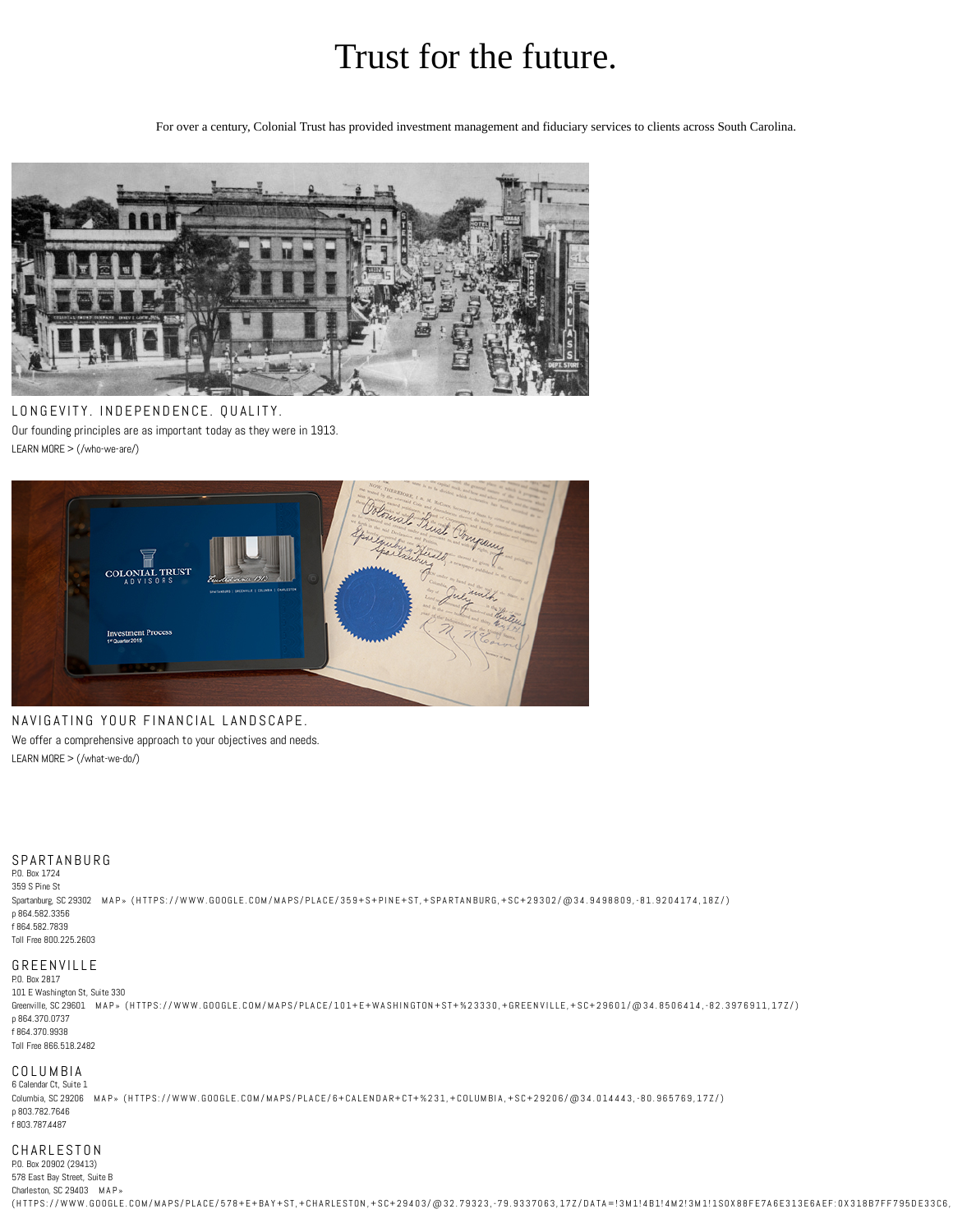# Trust for the future.

For over a century, Colonial Trust has provided investment management and fiduciary services to clients across South Carolina.



LONGEVITY. INDEPENDENCE. QUALITY. Our founding principles are as important today as they were in 1913. LEARN MORE > [\(/who-we-are/\)](http://www.colonialtrust.com/who-we-are/)



NAVIGATING YOUR FINANCIAL LANDSCAPE. We offer a comprehensive approach to your objectives and needs. LEARN MORE > [\(/what-we-do/\)](http://www.colonialtrust.com/what-we-do/)

#### S PARTAN BURG

P.O. Box 1724 359 S Pine St Spartanburg, SC 29302 MAP » (HTTPS://WWW.[GOOGL](https://www.google.com/maps/place/359+S+Pine+St,+Spartanburg,+SC+29302/@34.9498809,-81.9204174,18z/)E.COM/MAPS/PLACE/359+S+PINE+ST,+SPARTANBURG,+SC+29302/@34.9498809,-81.9204174,182/) p 864.582.3356 f 864.582.7839 Toll Free 800.225.2603

## G R E EN VILLE

P.O. Box 2817 101 E Washington St, Suite 330

Greenville, SC 29601 MAP» (HTTPS://WWW.[GOOGL](https://www.google.com/maps/place/101+E+Washington+St+%23330,+Greenville,+SC+29601/@34.8506414,-82.3976911,17z/)E.COM/MAPS/PLACE/101+E+WASHINGTON+ST+%23330,+GREENVILLE,+SC+29601/@34.8506414,-82.3976911,17Z/) p 864.370.0737 f 864.370.9938 Toll Free 866.518.2482

## COLUMBIA

6 Calendar Ct, Suite 1 Columbia, SC 29206 MAP» (HTTPS://WWW.GOOGLE.COM/MAPS/PLACE/6+CALENDAR+[CT+%2](https://www.google.com/maps/place/6+Calendar+Ct+%231,+Columbia,+SC+29206/@34.014443,-80.965769,17z/)31,+COLUMBIA,+SC+29206/@34.014443,-80.965769,17Z/) p 803.782.7646 f 803.787.4487

## **CHARLESTON**

P.O. Box 20902 (29413) 578 East Bay Street, Suite B [Charleston,](https://www.google.com/maps/place/578+E+Bay+St,+Charleston,+SC+29403/@32.79323,-79.9337063,17z/data=!3m1!4b1!4m2!3m1!1s0x88fe7a6e313e6aef:0x318b7ff795de33c6,%2017z/) SC 29403 MAP » (HTTPS://WWW.GOOGLE.COM/MAPS/PLACE/578+E+BAY+ST,+CHARLESTON,+SC+29403/@32.79323,-79.9337063,17Z/DATA=!3M1!4B1!4M2!3M1!1S0X88FE7A6E313E6AEF:0X318B7FF795DE33C6,